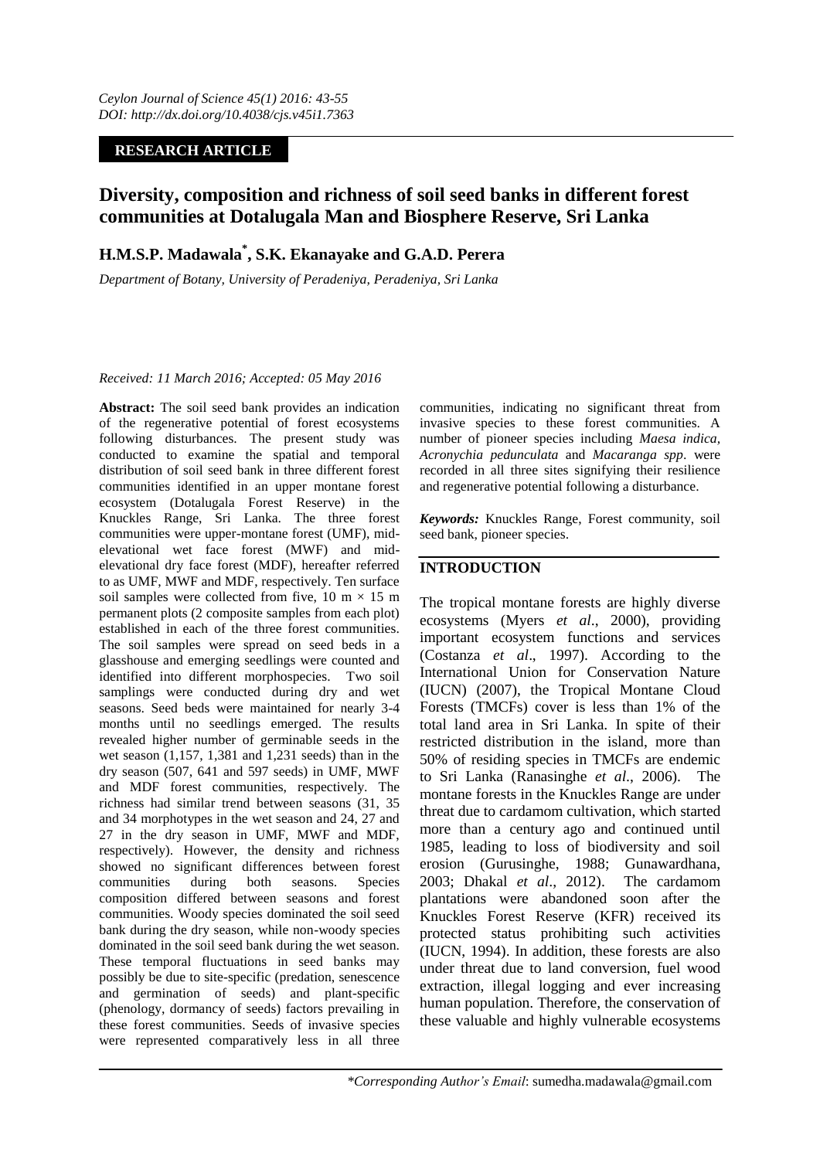# **RESEARCH ARTICLE**

# **Diversity, composition and richness of soil seed banks in different forest communities at Dotalugala Man and Biosphere Reserve, Sri Lanka**

# **H.M.S.P. Madawala\* , S.K. Ekanayake and G.A.D. Perera**

*Department of Botany, University of Peradeniya, Peradeniya, Sri Lanka*

### *Received: 11 March 2016; Accepted: 05 May 2016*

**Abstract:** The soil seed bank provides an indication of the regenerative potential of forest ecosystems following disturbances. The present study was conducted to examine the spatial and temporal distribution of soil seed bank in three different forest communities identified in an upper montane forest ecosystem (Dotalugala Forest Reserve) in the Knuckles Range, Sri Lanka. The three forest communities were upper-montane forest (UMF), midelevational wet face forest (MWF) and midelevational dry face forest (MDF), hereafter referred to as UMF, MWF and MDF, respectively. Ten surface soil samples were collected from five, 10 m  $\times$  15 m permanent plots (2 composite samples from each plot) established in each of the three forest communities. The soil samples were spread on seed beds in a glasshouse and emerging seedlings were counted and identified into different morphospecies. Two soil samplings were conducted during dry and wet seasons. Seed beds were maintained for nearly 3-4 months until no seedlings emerged. The results revealed higher number of germinable seeds in the wet season (1,157, 1,381 and 1,231 seeds) than in the dry season (507, 641 and 597 seeds) in UMF, MWF and MDF forest communities, respectively. The richness had similar trend between seasons (31, 35 and 34 morphotypes in the wet season and 24, 27 and 27 in the dry season in UMF, MWF and MDF, respectively). However, the density and richness showed no significant differences between forest<br>communities during both seasons. Species communities during both seasons. Species composition differed between seasons and forest communities. Woody species dominated the soil seed bank during the dry season, while non-woody species dominated in the soil seed bank during the wet season. These temporal fluctuations in seed banks may possibly be due to site-specific (predation, senescence and germination of seeds) and plant-specific (phenology, dormancy of seeds) factors prevailing in these forest communities. Seeds of invasive species were represented comparatively less in all three

communities, indicating no significant threat from invasive species to these forest communities. A number of pioneer species including *Maesa indica, Acronychia pedunculata* and *Macaranga spp*. were recorded in all three sites signifying their resilience and regenerative potential following a disturbance.

*Keywords:* Knuckles Range, Forest community, soil seed bank, pioneer species.

# **INTRODUCTION**

The tropical montane forests are highly diverse ecosystems (Myers *et al*., 2000), providing important ecosystem functions and services (Costanza *et al*., 1997). According to the International Union for Conservation Nature (IUCN) (2007), the Tropical Montane Cloud Forests (TMCFs) cover is less than 1% of the total land area in Sri Lanka. In spite of their restricted distribution in the island, more than 50% of residing species in TMCFs are endemic to Sri Lanka (Ranasinghe *et al*., 2006). The montane forests in the Knuckles Range are under threat due to cardamom cultivation, which started more than a century ago and continued until 1985, leading to loss of biodiversity and soil erosion (Gurusinghe, 1988; Gunawardhana, 2003; Dhakal *et al*., 2012). The cardamom plantations were abandoned soon after the Knuckles Forest Reserve (KFR) received its protected status prohibiting such activities (IUCN, 1994). In addition, these forests are also under threat due to land conversion, fuel wood extraction, illegal logging and ever increasing human population. Therefore, the conservation of these valuable and highly vulnerable ecosystems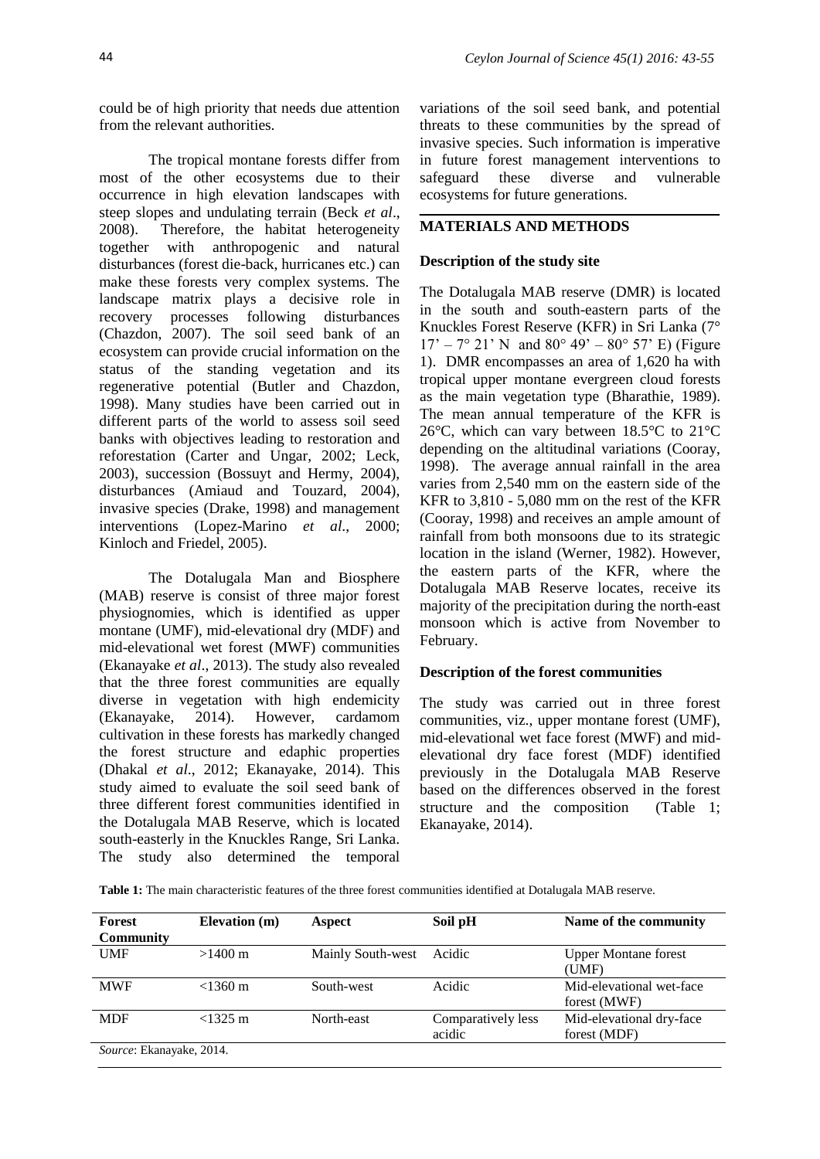could be of high priority that needs due attention from the relevant authorities.

The tropical montane forests differ from most of the other ecosystems due to their occurrence in high elevation landscapes with steep slopes and undulating terrain (Beck *et al*., 2008). Therefore, the habitat heterogeneity together with anthropogenic and natural disturbances (forest die-back, hurricanes etc.) can make these forests very complex systems. The landscape matrix plays a decisive role in recovery processes following disturbances (Chazdon, 2007). The soil seed bank of an ecosystem can provide crucial information on the status of the standing vegetation and its regenerative potential (Butler and Chazdon, 1998). Many studies have been carried out in different parts of the world to assess soil seed banks with objectives leading to restoration and reforestation (Carter and Ungar, 2002; Leck, 2003), succession (Bossuyt and Hermy, 2004), disturbances (Amiaud and Touzard, 2004), invasive species (Drake, 1998) and management interventions (Lopez-Marino *et al*., 2000; Kinloch and Friedel, 2005).

The Dotalugala Man and Biosphere (MAB) reserve is consist of three major forest physiognomies, which is identified as upper montane (UMF), mid-elevational dry (MDF) and mid-elevational wet forest (MWF) communities (Ekanayake *et al*., 2013). The study also revealed that the three forest communities are equally diverse in vegetation with high endemicity (Ekanayake, 2014). However, cardamom cultivation in these forests has markedly changed the forest structure and edaphic properties (Dhakal *et al*., 2012; Ekanayake, 2014). This study aimed to evaluate the soil seed bank of three different forest communities identified in the Dotalugala MAB Reserve, which is located south-easterly in the Knuckles Range, Sri Lanka. The study also determined the temporal

variations of the soil seed bank, and potential threats to these communities by the spread of invasive species. Such information is imperative in future forest management interventions to safeguard these diverse and vulnerable ecosystems for future generations.

## **MATERIALS AND METHODS**

### **Description of the study site**

The Dotalugala MAB reserve (DMR) is located in the south and south-eastern parts of the Knuckles Forest Reserve (KFR) in Sri Lanka (7°  $17' - 7^{\circ}$  21' N and 80° 49' – 80° 57' E) (Figure 1). DMR encompasses an area of 1,620 ha with tropical upper montane evergreen cloud forests as the main vegetation type (Bharathie, 1989). The mean annual temperature of the KFR is 26°C, which can vary between 18.5°C to 21°C depending on the altitudinal variations (Cooray, 1998). The average annual rainfall in the area varies from 2,540 mm on the eastern side of the KFR to 3,810 - 5,080 mm on the rest of the KFR (Cooray, 1998) and receives an ample amount of rainfall from both monsoons due to its strategic location in the island (Werner, 1982). However, the eastern parts of the KFR, where the Dotalugala MAB Reserve locates, receive its majority of the precipitation during the north-east monsoon which is active from November to February.

### **Description of the forest communities**

The study was carried out in three forest communities, viz., upper montane forest (UMF), mid-elevational wet face forest (MWF) and midelevational dry face forest (MDF) identified previously in the Dotalugala MAB Reserve based on the differences observed in the forest structure and the composition (Table 1; Ekanayake, 2014).

**Table 1:** The main characteristic features of the three forest communities identified at Dotalugala MAB reserve.

| Forest                   | Elevation (m)     | <b>Aspect</b>     | Soil pH            | Name of the community       |
|--------------------------|-------------------|-------------------|--------------------|-----------------------------|
| <b>Community</b>         |                   |                   |                    |                             |
| <b>UMF</b>               | $>1400 \text{ m}$ | Mainly South-west | Acidic             | <b>Upper Montane forest</b> |
|                          |                   |                   |                    | (UMF)                       |
| <b>MWF</b>               | $<$ 1360 m        | South-west        | Acidic             | Mid-elevational wet-face    |
|                          |                   |                   |                    | forest (MWF)                |
| <b>MDF</b>               | $<$ 1325 m        | North-east        | Comparatively less | Mid-elevational dry-face    |
|                          |                   |                   | acidic             | forest (MDF)                |
| Source: Ekanayake, 2014. |                   |                   |                    |                             |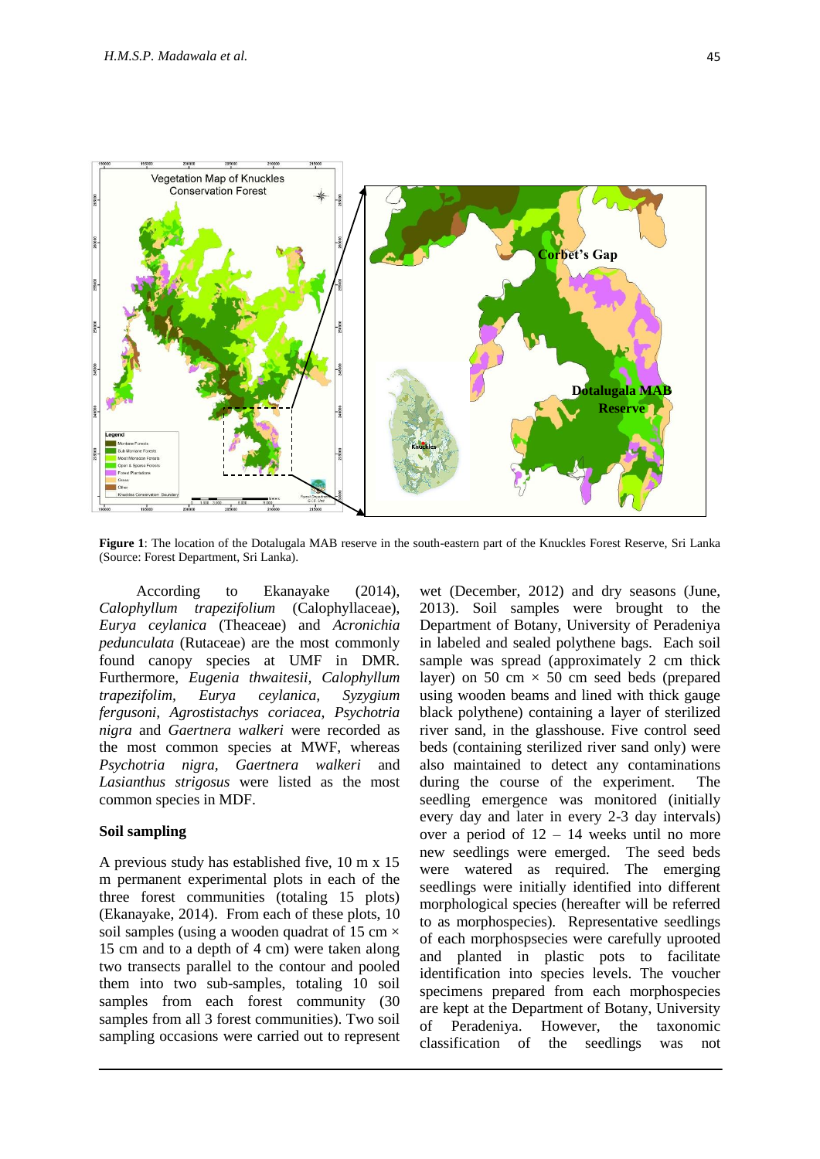

**Figure 1**: The location of the Dotalugala MAB reserve in the south-eastern part of the Knuckles Forest Reserve, Sri Lanka (Source: Forest Department, Sri Lanka).

According to Ekanayake (2014), *Calophyllum trapezifolium* (Calophyllaceae), *Eurya ceylanica* (Theaceae) and *Acronichia pedunculata* (Rutaceae) are the most commonly found canopy species at UMF in DMR. Furthermore, *Eugenia thwaitesii, Calophyllum trapezifolim, Eurya ceylanica, Syzygium fergusoni, Agrostistachys coriacea, Psychotria nigra* and *Gaertnera walkeri* were recorded as the most common species at MWF, whereas *Psychotria nigra, Gaertnera walkeri* and *Lasianthus strigosus* were listed as the most common species in MDF.

#### **Soil sampling**

A previous study has established five, 10 m x 15 m permanent experimental plots in each of the three forest communities (totaling 15 plots) (Ekanayake, 2014). From each of these plots, 10 soil samples (using a wooden quadrat of 15 cm  $\times$ 15 cm and to a depth of 4 cm) were taken along two transects parallel to the contour and pooled them into two sub-samples, totaling 10 soil samples from each forest community (30) samples from all 3 forest communities). Two soil sampling occasions were carried out to represent

wet (December, 2012) and dry seasons (June, 2013). Soil samples were brought to the Department of Botany, University of Peradeniya in labeled and sealed polythene bags. Each soil sample was spread (approximately 2 cm thick layer) on 50 cm  $\times$  50 cm seed beds (prepared using wooden beams and lined with thick gauge black polythene) containing a layer of sterilized river sand, in the glasshouse. Five control seed beds (containing sterilized river sand only) were also maintained to detect any contaminations during the course of the experiment. The seedling emergence was monitored (initially every day and later in every 2-3 day intervals) over a period of 12 – 14 weeks until no more new seedlings were emerged. The seed beds were watered as required. The emerging seedlings were initially identified into different morphological species (hereafter will be referred to as morphospecies). Representative seedlings of each morphospsecies were carefully uprooted and planted in plastic pots to facilitate identification into species levels. The voucher specimens prepared from each morphospecies are kept at the Department of Botany, University of Peradeniya. However, the taxonomic classification of the seedlings was not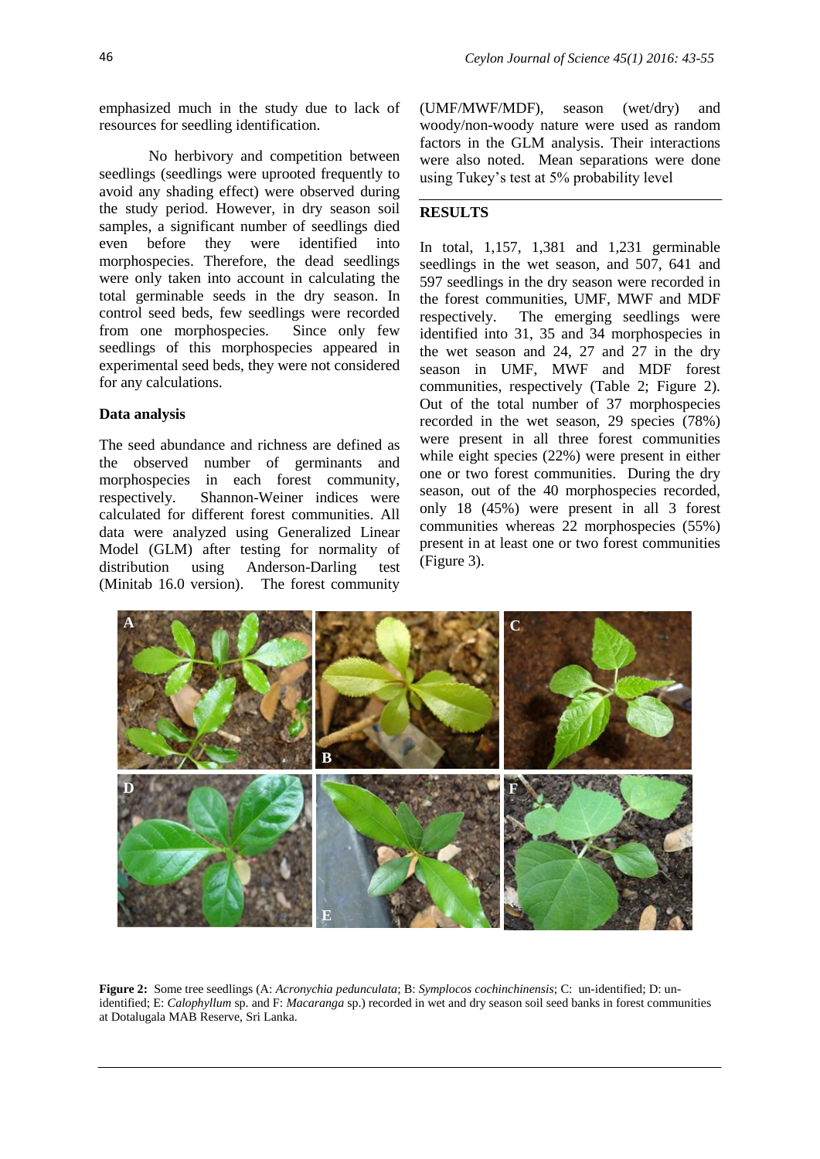emphasized much in the study due to lack of resources for seedling identification.

No herbivory and competition between seedlings (seedlings were uprooted frequently to avoid any shading effect) were observed during the study period. However, in dry season soil samples, a significant number of seedlings died even before they were identified into morphospecies. Therefore, the dead seedlings were only taken into account in calculating the total germinable seeds in the dry season. In control seed beds, few seedlings were recorded from one morphospecies. Since only few seedlings of this morphospecies appeared in experimental seed beds, they were not considered for any calculations.

# **Data analysis**

The seed abundance and richness are defined as the observed number of germinants and morphospecies in each forest community, respectively. Shannon-Weiner indices were calculated for different forest communities. All data were analyzed using Generalized Linear Model (GLM) after testing for normality of distribution using Anderson-Darling test (Minitab 16.0 version). The forest community

(UMF/MWF/MDF), season (wet/dry) and woody/non-woody nature were used as random factors in the GLM analysis. Their interactions were also noted. Mean separations were done using Tukey's test at 5% probability level

## **RESULTS**

In total, 1,157, 1,381 and 1,231 germinable seedlings in the wet season, and 507, 641 and 597 seedlings in the dry season were recorded in the forest communities, UMF, MWF and MDF respectively. The emerging seedlings were identified into 31, 35 and 34 morphospecies in the wet season and 24, 27 and 27 in the dry season in UMF, MWF and MDF forest communities, respectively (Table 2; Figure 2). Out of the total number of 37 morphospecies recorded in the wet season, 29 species (78%) were present in all three forest communities while eight species (22%) were present in either one or two forest communities. During the dry season, out of the 40 morphospecies recorded, only 18 (45%) were present in all 3 forest communities whereas 22 morphospecies (55%) present in at least one or two forest communities (Figure 3).



**Figure 2:** Some tree seedlings (A: *Acronychia pedunculata*; B: *Symplocos cochinchinensis*; C: un-identified; D: unidentified; E: *Calophyllum* sp. and F: *Macaranga* sp.) recorded in wet and dry season soil seed banks in forest communities at Dotalugala MAB Reserve, Sri Lanka.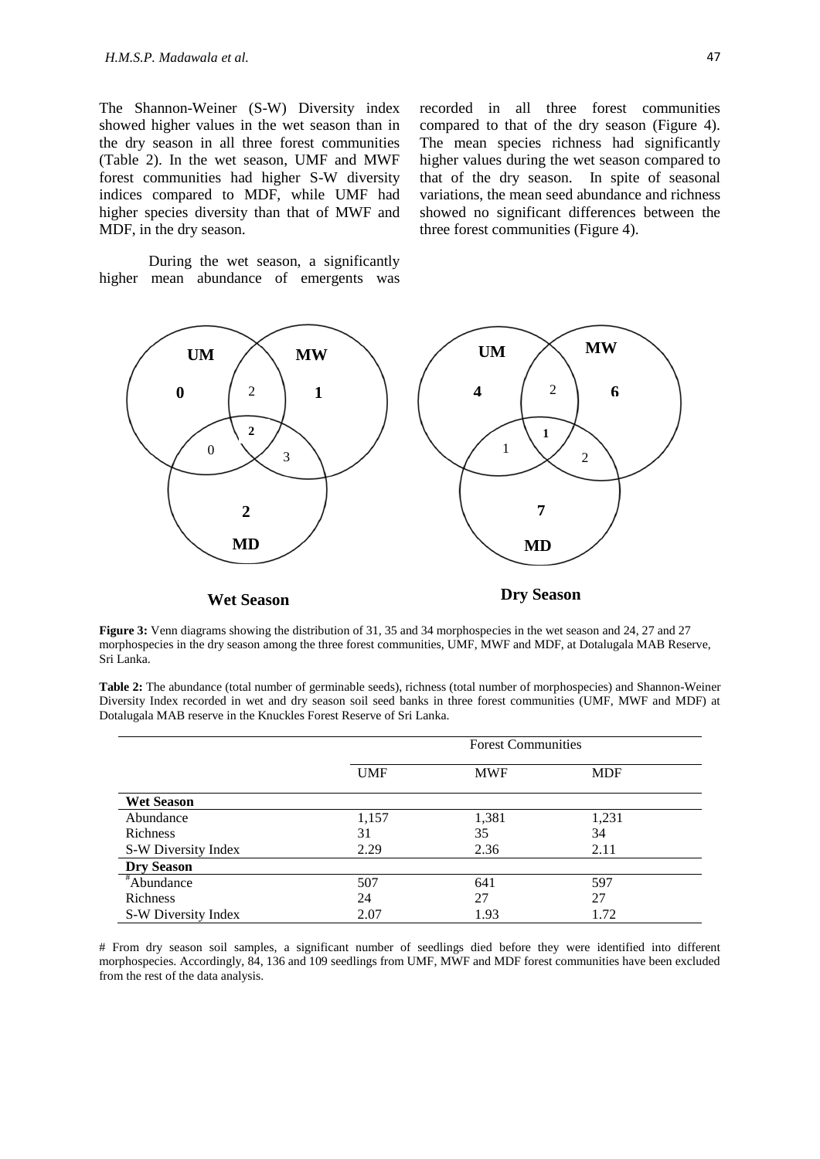The Shannon-Weiner (S-W) Diversity index showed higher values in the wet season than in the dry season in all three forest communities (Table 2). In the wet season, UMF and MWF forest communities had higher S-W diversity indices compared to MDF, while UMF had higher species diversity than that of MWF and MDF, in the dry season.

During the wet season, a significantly higher mean abundance of emergents was





**Figure 3:** Venn diagrams showing the distribution of 31, 35 and 34 morphospecies in the wet season and 24, 27 and 27 morphospecies in the dry season among the three forest communities, UMF, MWF and MDF, at Dotalugala MAB Reserve, Sri Lanka.

**Table 2:** The abundance (total number of germinable seeds), richness (total number of morphospecies) and Shannon-Weiner Diversity Index recorded in wet and dry season soil seed banks in three forest communities (UMF, MWF and MDF) at Dotalugala MAB reserve in the Knuckles Forest Reserve of Sri Lanka.

|                     |            | <b>Forest Communities</b> |            |  |
|---------------------|------------|---------------------------|------------|--|
|                     | <b>UMF</b> | <b>MWF</b>                | <b>MDF</b> |  |
| <b>Wet Season</b>   |            |                           |            |  |
| Abundance           | 1,157      | 1,381                     | 1,231      |  |
| Richness            | 31         | 35                        | 34         |  |
| S-W Diversity Index | 2.29       | 2.36                      | 2.11       |  |
| <b>Dry Season</b>   |            |                           |            |  |
| #Abundance          | 507        | 641                       | 597        |  |
| Richness            | 24         | 27                        | 27         |  |
| S-W Diversity Index | 2.07       | 1.93                      | 1.72       |  |

# From dry season soil samples, a significant number of seedlings died before they were identified into different morphospecies. Accordingly, 84, 136 and 109 seedlings from UMF, MWF and MDF forest communities have been excluded from the rest of the data analysis.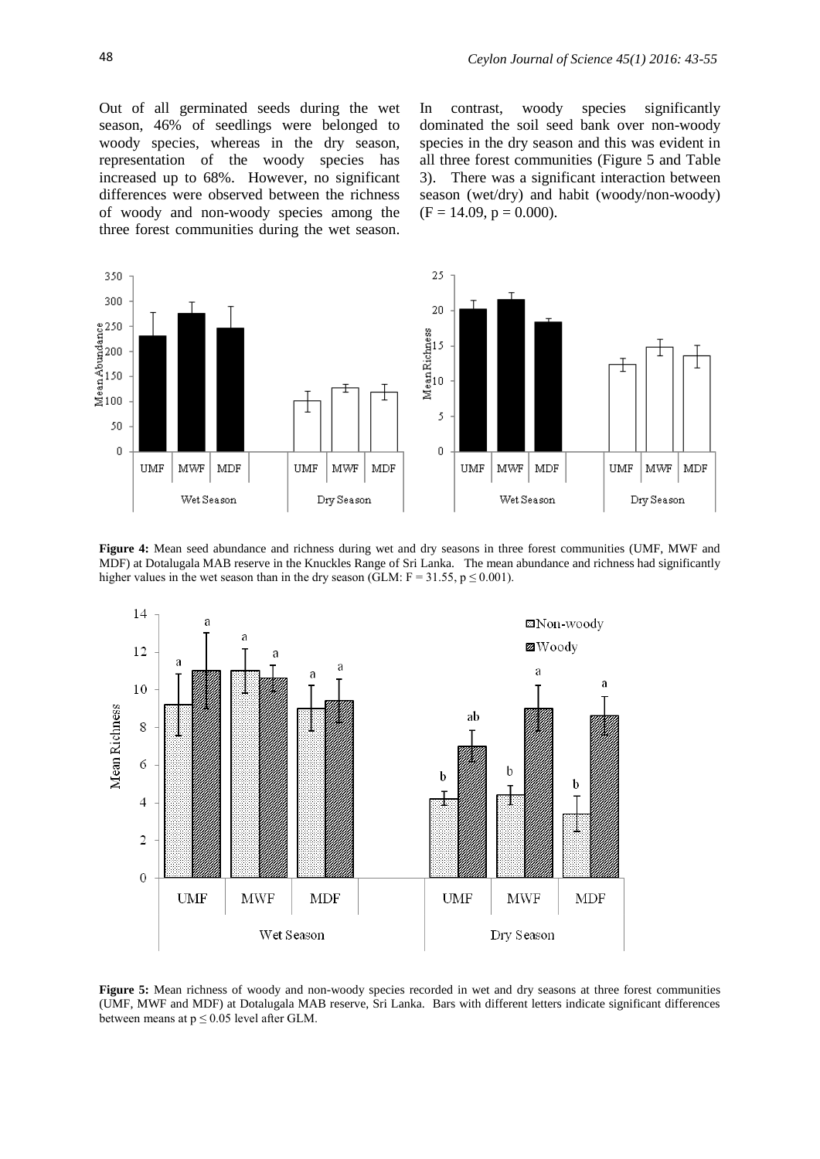Out of all germinated seeds during the wet season, 46% of seedlings were belonged to woody species, whereas in the dry season, representation of the woody species has increased up to 68%. However, no significant differences were observed between the richness of woody and non-woody species among the three forest communities during the wet season. In contrast, woody species significantly dominated the soil seed bank over non-woody species in the dry season and this was evident in all three forest communities (Figure 5 and Table 3). There was a significant interaction between season (wet/dry) and habit (woody/non-woody)  $(F = 14.09, p = 0.000).$ 



**Figure 4:** Mean seed abundance and richness during wet and dry seasons in three forest communities (UMF, MWF and MDF) at Dotalugala MAB reserve in the Knuckles Range of Sri Lanka. The mean abundance and richness had significantly higher values in the wet season than in the dry season (GLM:  $F = 31.55$ ,  $p \le 0.001$ ).



**Figure 5:** Mean richness of woody and non-woody species recorded in wet and dry seasons at three forest communities (UMF, MWF and MDF) at Dotalugala MAB reserve, Sri Lanka. Bars with different letters indicate significant differences between means at  $p \le 0.05$  level after GLM.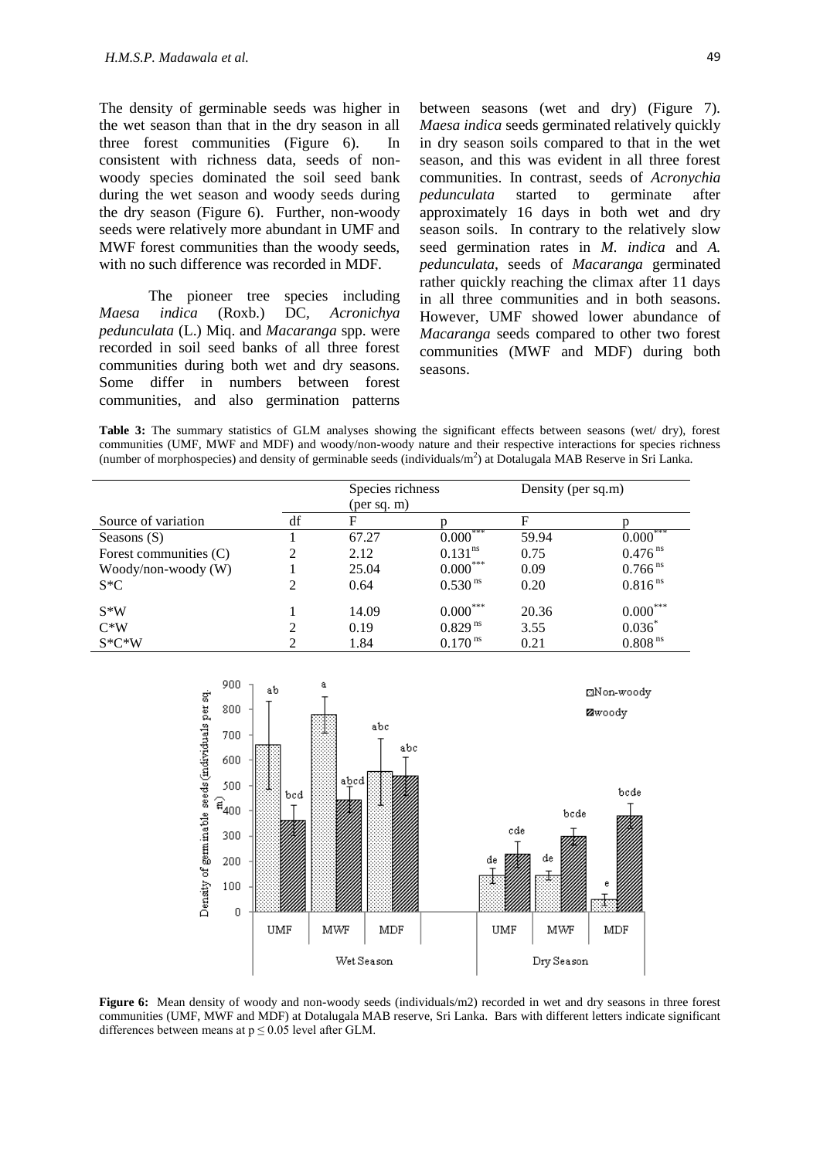The density of germinable seeds was higher in the wet season than that in the dry season in all three forest communities (Figure 6). In consistent with richness data, seeds of nonwoody species dominated the soil seed bank during the wet season and woody seeds during the dry season (Figure 6). Further, non-woody seeds were relatively more abundant in UMF and MWF forest communities than the woody seeds, with no such difference was recorded in MDF.

The pioneer tree species including *Maesa indica* (Roxb.) DC*, Acronichya pedunculata* (L.) Miq. and *Macaranga* spp. were recorded in soil seed banks of all three forest communities during both wet and dry seasons. Some differ in numbers between forest communities, and also germination patterns

between seasons (wet and dry) (Figure 7). *Maesa indica* seeds germinated relatively quickly in dry season soils compared to that in the wet season, and this was evident in all three forest communities. In contrast, seeds of *Acronychia pedunculata* started to germinate after approximately 16 days in both wet and dry season soils. In contrary to the relatively slow seed germination rates in *M. indica* and *A. pedunculata*, seeds of *Macaranga* germinated rather quickly reaching the climax after 11 days in all three communities and in both seasons. However, UMF showed lower abundance of *Macaranga* seeds compared to other two forest communities (MWF and MDF) during both seasons.

**Table 3:** The summary statistics of GLM analyses showing the significant effects between seasons (wet/ dry), forest communities (UMF, MWF and MDF) and woody/non-woody nature and their respective interactions for species richness (number of morphospecies) and density of germinable seeds (individuals/ $m<sup>2</sup>$ ) at Dotalugala MAB Reserve in Sri Lanka.

|                          |                | Species richness<br>(per sq. m) |                        | Density (per sq.m) |                       |
|--------------------------|----------------|---------------------------------|------------------------|--------------------|-----------------------|
| Source of variation      | df             | $\mathbf F$                     | D                      | F                  |                       |
| Seasons $(S)$            |                | 67.27                           | ***<br>$0.000^{\circ}$ | 59.94              | ***<br>$0.000^*$      |
| Forest communities $(C)$ | $\mathfrak{D}$ | 2.12                            | $0.131$ <sup>ns</sup>  | 0.75               | $0.476$ <sup>ns</sup> |
| Woody/non-woody $(W)$    |                | 25.04                           | $0.000***$             | 0.09               | $0.766$ <sup>ns</sup> |
| $S*C$                    | 2              | 0.64                            | $0.530$ <sup>ns</sup>  | 0.20               | $0.816^{ns}$          |
| $S*W$                    |                | 14.09                           | $0.000^{\circ}$        | 20.36              | $0.000^{***}$         |
| $C*W$                    | ↑              | 0.19                            | 0.829 <sup>ns</sup>    | 3.55               | $0.036*$              |
| $S*C*W$                  | ∍              | 1.84                            | $0.170$ <sup>ns</sup>  | 0.21               | $0.808$ <sup>ns</sup> |



**Figure 6:** Mean density of woody and non-woody seeds (individuals/m2) recorded in wet and dry seasons in three forest communities (UMF, MWF and MDF) at Dotalugala MAB reserve, Sri Lanka. Bars with different letters indicate significant differences between means at  $p \le 0.05$  level after GLM.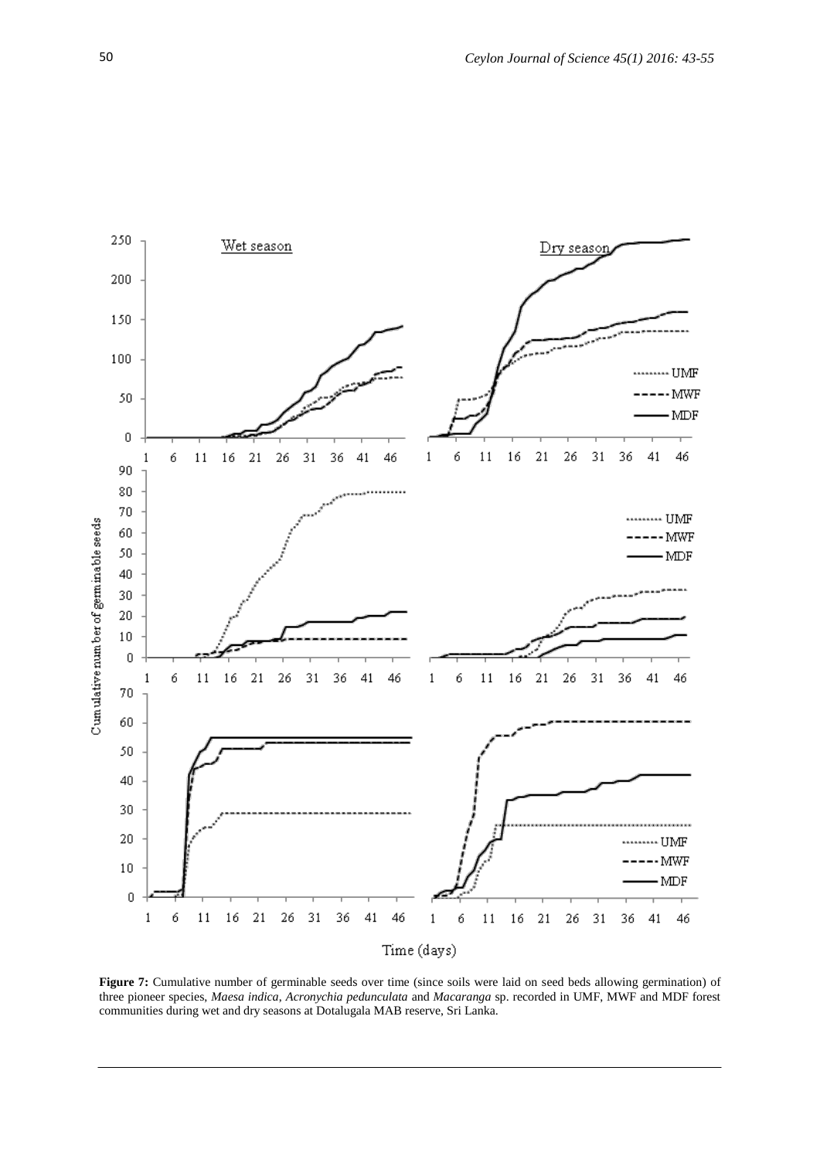

**Figure 7:** Cumulative number of germinable seeds over time (since soils were laid on seed beds allowing germination) of three pioneer species, *Maesa indica*, *Acronychia pedunculata* and *Macaranga* sp. recorded in UMF, MWF and MDF forest communities during wet and dry seasons at Dotalugala MAB reserve, Sri Lanka.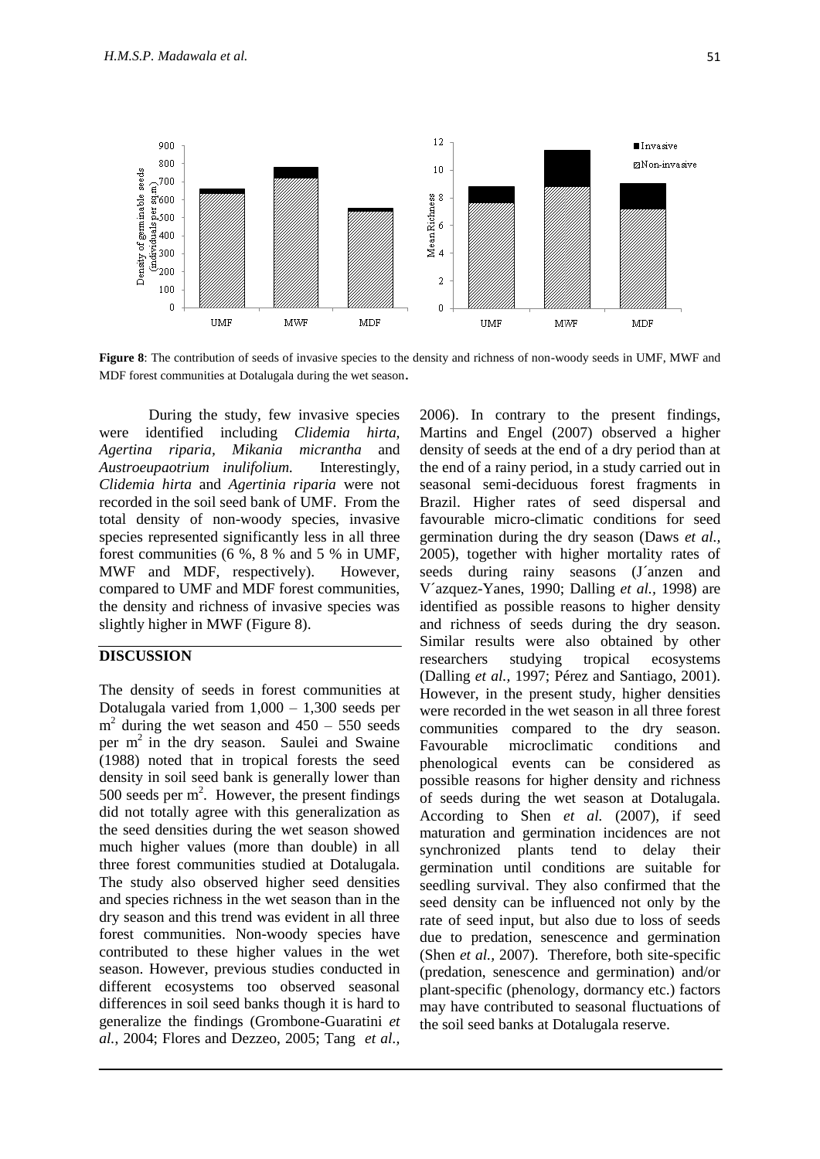

**Figure 8**: The contribution of seeds of invasive species to the density and richness of non-woody seeds in UMF, MWF and MDF forest communities at Dotalugala during the wet season.

During the study, few invasive species were identified including *Clidemia hirta, Agertina riparia, Mikania micrantha* and *Austroeupaotrium inulifolium.* Interestingly, *Clidemia hirta* and *Agertinia riparia* were not recorded in the soil seed bank of UMF. From the total density of non-woody species, invasive species represented significantly less in all three forest communities (6 %, 8 % and 5 % in UMF, MWF and MDF, respectively). However, compared to UMF and MDF forest communities, the density and richness of invasive species was slightly higher in MWF (Figure 8).

## **DISCUSSION**

 $\overline{a}$ 

The density of seeds in forest communities at Dotalugala varied from  $1,000 - 1,300$  seeds per  $m<sup>2</sup>$  during the wet season and  $450 - 550$  seeds per  $m<sup>2</sup>$  in the dry season. Saulei and Swaine (1988) noted that in tropical forests the seed density in soil seed bank is generally lower than  $500$  seeds per  $m^2$ . However, the present findings did not totally agree with this generalization as the seed densities during the wet season showed much higher values (more than double) in all three forest communities studied at Dotalugala. The study also observed higher seed densities and species richness in the wet season than in the dry season and this trend was evident in all three forest communities. Non-woody species have contributed to these higher values in the wet season. However, previous studies conducted in different ecosystems too observed seasonal differences in soil seed banks though it is hard to generalize the findings (Grombone-Guaratini *et al.*, 2004; Flores and Dezzeo, 2005; Tang *et al.,*

2006). In contrary to the present findings, Martins and Engel (2007) observed a higher density of seeds at the end of a dry period than at the end of a rainy period, in a study carried out in seasonal semi-deciduous forest fragments in Brazil. Higher rates of seed dispersal and favourable micro-climatic conditions for seed germination during the dry season (Daws *et al.,* 2005), together with higher mortality rates of seeds during rainy seasons (J´anzen and V´azquez-Yanes, 1990; Dalling *et al.,* 1998) are identified as possible reasons to higher density and richness of seeds during the dry season. Similar results were also obtained by other researchers studying tropical ecosystems (Dalling *et al.,* 1997; Pérez and Santiago, 2001). However, in the present study, higher densities were recorded in the wet season in all three forest communities compared to the dry season. Favourable microclimatic conditions and phenological events can be considered as possible reasons for higher density and richness of seeds during the wet season at Dotalugala. According to Shen *et al.* (2007), if seed maturation and germination incidences are not synchronized plants tend to delay their germination until conditions are suitable for seedling survival. They also confirmed that the seed density can be influenced not only by the rate of seed input, but also due to loss of seeds due to predation, senescence and germination (Shen *et al.,* 2007). Therefore, both site-specific (predation, senescence and germination) and/or plant-specific (phenology, dormancy etc.) factors may have contributed to seasonal fluctuations of the soil seed banks at Dotalugala reserve.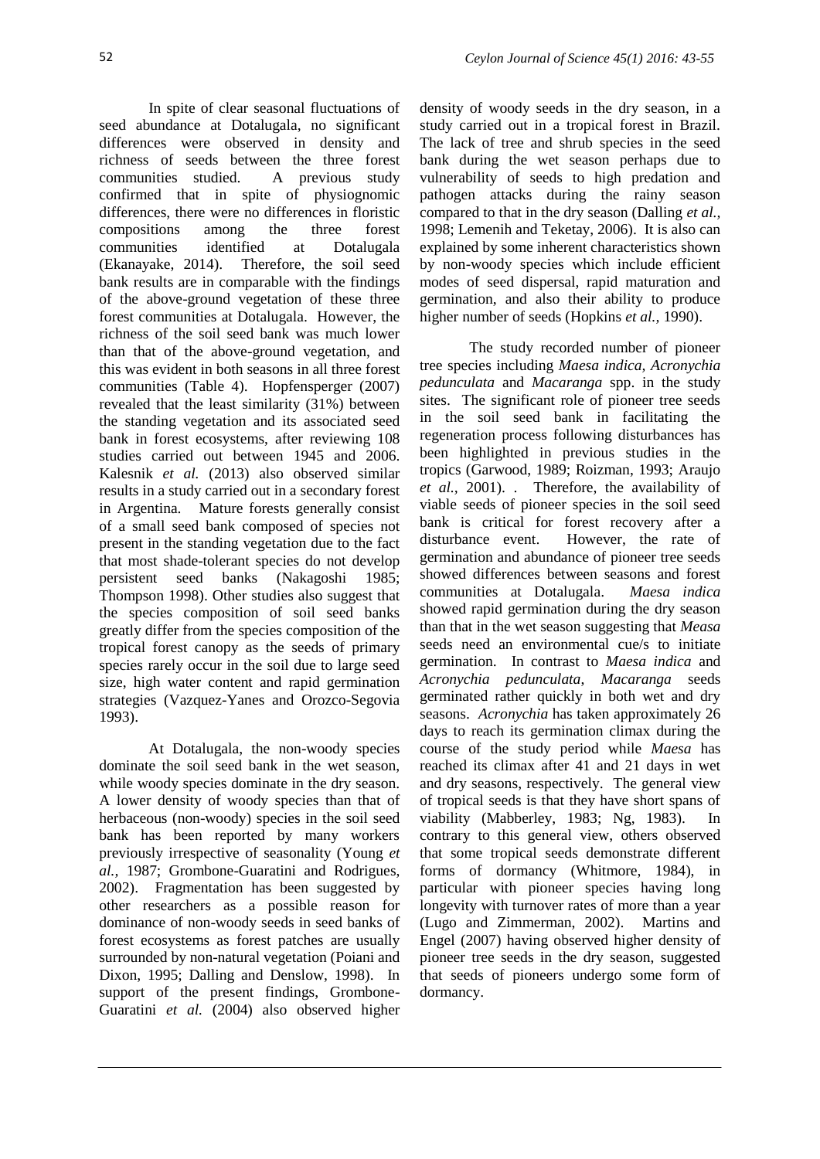In spite of clear seasonal fluctuations of seed abundance at Dotalugala, no significant differences were observed in density and richness of seeds between the three forest communities studied. A previous study confirmed that in spite of physiognomic differences, there were no differences in floristic compositions among the three forest communities identified at Dotalugala (Ekanayake, 2014). Therefore, the soil seed bank results are in comparable with the findings of the above-ground vegetation of these three forest communities at Dotalugala. However, the richness of the soil seed bank was much lower than that of the above-ground vegetation, and this was evident in both seasons in all three forest communities (Table 4). Hopfensperger (2007) revealed that the least similarity (31%) between the standing vegetation and its associated seed bank in forest ecosystems, after reviewing 108 studies carried out between 1945 and 2006. Kalesnik *et al.* (2013) also observed similar results in a study carried out in a secondary forest in Argentina. Mature forests generally consist of a small seed bank composed of species not present in the standing vegetation due to the fact that most shade-tolerant species do not develop persistent seed banks (Nakagoshi 1985; Thompson 1998). Other studies also suggest that the species composition of soil seed banks greatly differ from the species composition of the tropical forest canopy as the seeds of primary species rarely occur in the soil due to large seed size, high water content and rapid germination strategies (Vazquez-Yanes and Orozco-Segovia 1993).

At Dotalugala, the non-woody species dominate the soil seed bank in the wet season, while woody species dominate in the dry season. A lower density of woody species than that of herbaceous (non-woody) species in the soil seed bank has been reported by many workers previously irrespective of seasonality (Young *et al.,* 1987; Grombone-Guaratini and Rodrigues, 2002). Fragmentation has been suggested by other researchers as a possible reason for dominance of non-woody seeds in seed banks of forest ecosystems as forest patches are usually surrounded by non-natural vegetation (Poiani and Dixon, 1995; Dalling and Denslow, 1998). In support of the present findings, Grombone-Guaratini *et al.* (2004) also observed higher

density of woody seeds in the dry season, in a study carried out in a tropical forest in Brazil. The lack of tree and shrub species in the seed bank during the wet season perhaps due to vulnerability of seeds to high predation and pathogen attacks during the rainy season compared to that in the dry season (Dalling *et al.,* 1998; Lemenih and Teketay, 2006). It is also can explained by some inherent characteristics shown by non-woody species which include efficient modes of seed dispersal, rapid maturation and germination, and also their ability to produce higher number of seeds (Hopkins *et al.,* 1990).

The study recorded number of pioneer tree species including *Maesa indica, Acronychia pedunculata* and *Macaranga* spp. in the study sites. The significant role of pioneer tree seeds in the soil seed bank in facilitating the regeneration process following disturbances has been highlighted in previous studies in the tropics (Garwood, 1989; Roizman, 1993; Araujo *et al.,* 2001). . Therefore, the availability of viable seeds of pioneer species in the soil seed bank is critical for forest recovery after a disturbance event. However, the rate of germination and abundance of pioneer tree seeds showed differences between seasons and forest communities at Dotalugala. *Maesa indica*  showed rapid germination during the dry season than that in the wet season suggesting that *Measa* seeds need an environmental cue/s to initiate germination. In contrast to *Maesa indica* and *Acronychia pedunculata*, *Macaranga* seeds germinated rather quickly in both wet and dry seasons. *Acronychia* has taken approximately 26 days to reach its germination climax during the course of the study period while *Maesa* has reached its climax after 41 and 21 days in wet and dry seasons, respectively. The general view of tropical seeds is that they have short spans of viability (Mabberley, 1983; Ng, 1983). In contrary to this general view, others observed that some tropical seeds demonstrate different forms of dormancy (Whitmore, 1984), in particular with pioneer species having long longevity with turnover rates of more than a year (Lugo and Zimmerman, 2002). Martins and Engel (2007) having observed higher density of pioneer tree seeds in the dry season, suggested that seeds of pioneers undergo some form of dormancy.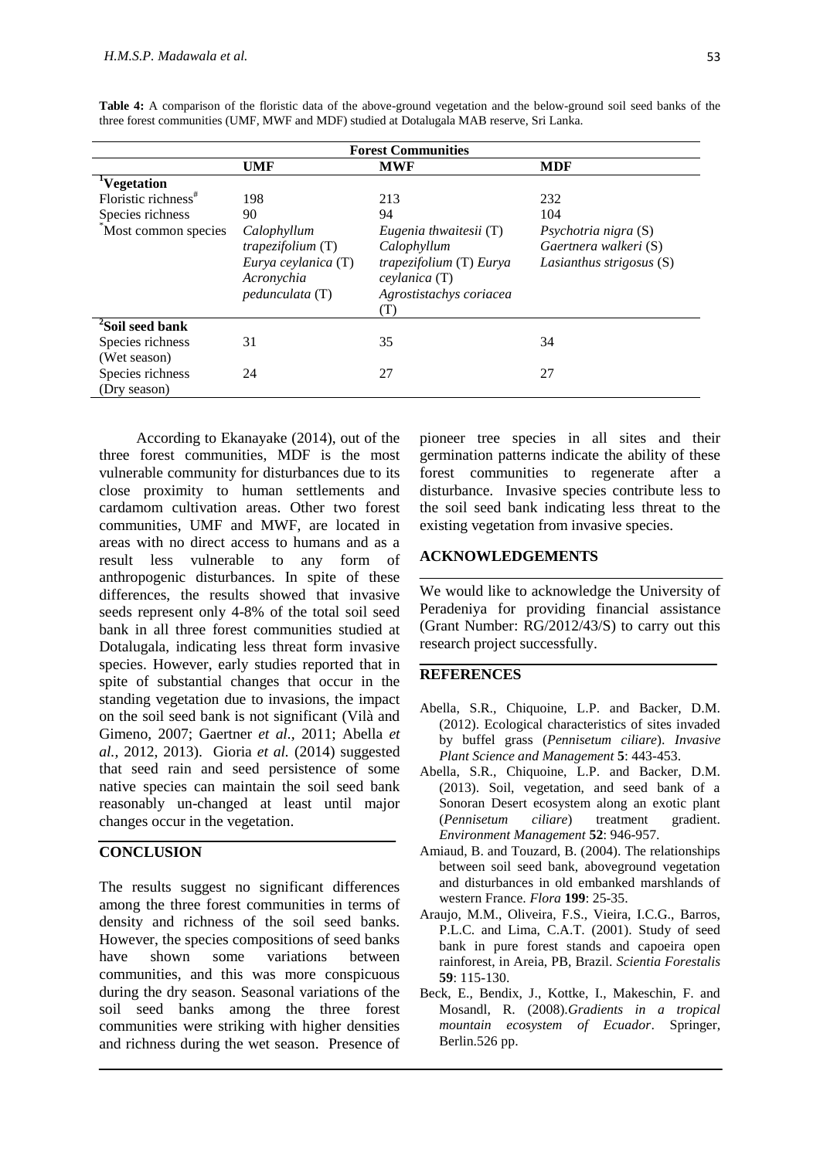| <b>Forest Communities</b>        |                                                                                                          |                                                                                                                                   |                                                                           |  |
|----------------------------------|----------------------------------------------------------------------------------------------------------|-----------------------------------------------------------------------------------------------------------------------------------|---------------------------------------------------------------------------|--|
|                                  | UMF                                                                                                      | <b>MWF</b>                                                                                                                        | <b>MDF</b>                                                                |  |
| <sup>1</sup> Vegetation          |                                                                                                          |                                                                                                                                   |                                                                           |  |
| Floristic richness <sup>#</sup>  | 198                                                                                                      | 213                                                                                                                               | 232                                                                       |  |
| Species richness                 | 90                                                                                                       | 94                                                                                                                                | 104                                                                       |  |
| "Most common species"            | Calophyllum<br><i>trapezifolium</i> $(T)$<br>Eurya ceylanica (T)<br>Acronychia<br><i>pedunculata</i> (T) | Eugenia thwaitesii (T)<br>Calophyllum<br><i>trapezifolium</i> (T) <i>Eurya</i><br>ceylanica (T)<br>Agrostistachys coriacea<br>(T) | Psychotria nigra (S)<br>Gaertnera walkeri (S)<br>Lasianthus strigosus (S) |  |
| <sup>2</sup> Soil seed bank      |                                                                                                          |                                                                                                                                   |                                                                           |  |
| Species richness                 | 31                                                                                                       | 35                                                                                                                                | 34                                                                        |  |
| (Wet season)                     |                                                                                                          |                                                                                                                                   |                                                                           |  |
| Species richness<br>(Dry season) | 24                                                                                                       | 27                                                                                                                                | 27                                                                        |  |

**Table 4:** A comparison of the floristic data of the above-ground vegetation and the below-ground soil seed banks of the three forest communities (UMF, MWF and MDF) studied at Dotalugala MAB reserve, Sri Lanka.

According to Ekanayake (2014), out of the three forest communities, MDF is the most vulnerable community for disturbances due to its close proximity to human settlements and cardamom cultivation areas. Other two forest communities, UMF and MWF, are located in areas with no direct access to humans and as a result less vulnerable to any form of anthropogenic disturbances. In spite of these differences, the results showed that invasive seeds represent only 4-8% of the total soil seed bank in all three forest communities studied at Dotalugala, indicating less threat form invasive species. However, early studies reported that in spite of substantial changes that occur in the standing vegetation due to invasions, the impact on the soil seed bank is not significant (Vilà and Gimeno, 2007; Gaertner *et al.,* 2011; Abella *et al.,* 2012, 2013). Gioria *et al.* (2014) suggested that seed rain and seed persistence of some native species can maintain the soil seed bank reasonably un-changed at least until major changes occur in the vegetation.

# **CONCLUSION**

The results suggest no significant differences among the three forest communities in terms of density and richness of the soil seed banks. However, the species compositions of seed banks have shown some variations between communities, and this was more conspicuous during the dry season. Seasonal variations of the soil seed banks among the three forest communities were striking with higher densities and richness during the wet season. Presence of

pioneer tree species in all sites and their germination patterns indicate the ability of these forest communities to regenerate after a disturbance. Invasive species contribute less to the soil seed bank indicating less threat to the existing vegetation from invasive species.

### **ACKNOWLEDGEMENTS**

We would like to acknowledge the University of Peradeniya for providing financial assistance (Grant Number: RG/2012/43/S) to carry out this research project successfully.

### **REFERENCES**

- Abella, S.R., Chiquoine, L.P. and Backer, D.M. (2012). Ecological characteristics of sites invaded by buffel grass (*Pennisetum ciliare*). *Invasive Plant Science and Management* **5**: 443-453.
- Abella, S.R., Chiquoine, L.P. and Backer, D.M. (2013). Soil, vegetation, and seed bank of a Sonoran Desert ecosystem along an exotic plant (*Pennisetum ciliare*) treatment gradient. *Environment Management* **52**: 946-957.
- Amiaud, B. and Touzard, B. (2004). The relationships between soil seed bank, aboveground vegetation and disturbances in old embanked marshlands of western France. *Flora* **199**: 25-35.
- Araujo, M.M., Oliveira, F.S., Vieira, I.C.G., Barros, P.L.C. and Lima, C.A.T. (2001). Study of seed bank in pure forest stands and capoeira open rainforest, in Areia, PB, Brazil. *Scientia Forestalis*  **59**: 115-130.
- Beck, E., Bendix, J., Kottke, I., Makeschin, F. and Mosandl, R. (2008).*Gradients in a tropical mountain ecosystem of Ecuador*. Springer, Berlin.526 pp.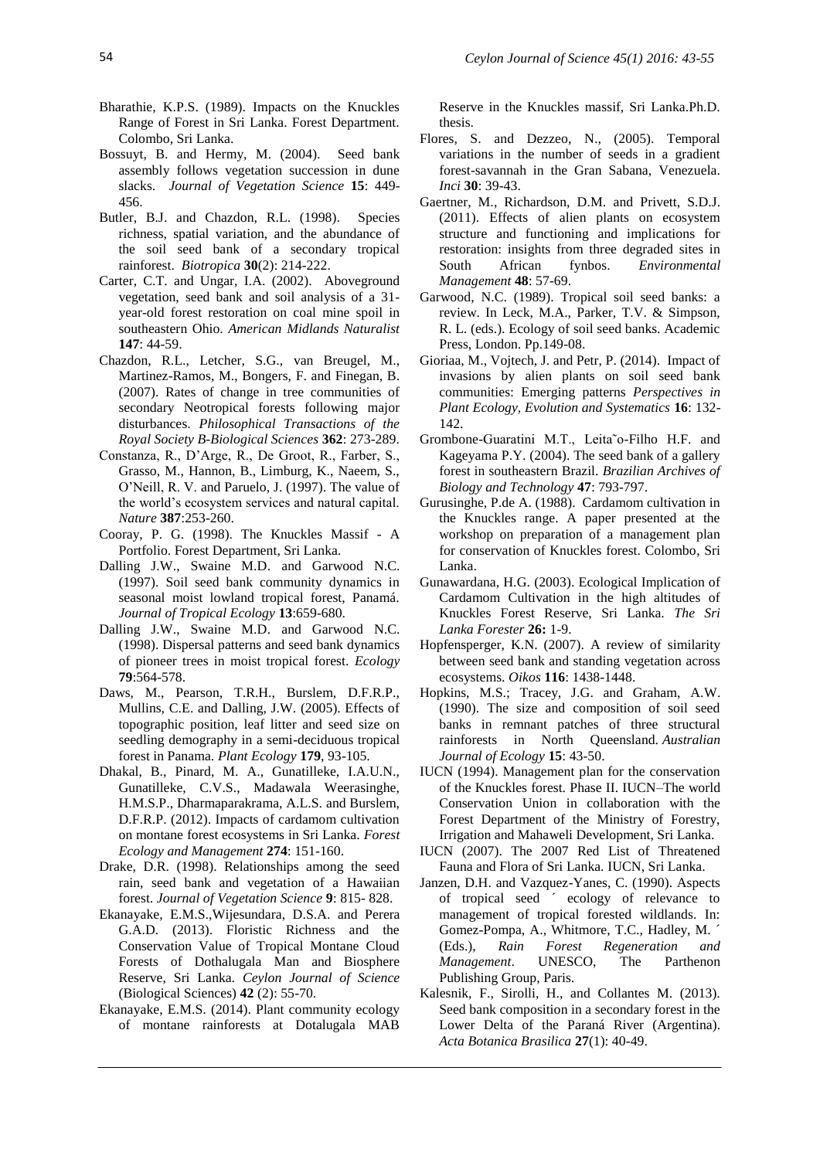- Bharathie, K.P.S. (1989). Impacts on the Knuckles Range of Forest in Sri Lanka. Forest Department. Colombo, Sri Lanka.
- Bossuyt, B. and Hermy, M. (2004). Seed bank assembly follows vegetation succession in dune slacks. *Journal of Vegetation Science* **15**: 449- 456.
- Butler, B.J. and Chazdon, R.L. (1998). Species richness, spatial variation, and the abundance of the soil seed bank of a secondary tropical rainforest. *Biotropica* **30**(2): 214-222.
- Carter, C.T. and Ungar, I.A. (2002). Aboveground vegetation, seed bank and soil analysis of a 31 year-old forest restoration on coal mine spoil in southeastern Ohio. *American Midlands Naturalist*  **147**: 44-59.
- Chazdon, R.L., Letcher, S.G., van Breugel, M., Martinez-Ramos, M., Bongers, F. and Finegan, B. (2007). Rates of change in tree communities of secondary Neotropical forests following major disturbances. *Philosophical Transactions of the Royal Society B-Biological Sciences* **362**: 273-289.
- Constanza, R., D'Arge, R., De Groot, R., Farber, S., Grasso, M., Hannon, B., Limburg, K., Naeem, S., O'Neill, R. V. and Paruelo, J. (1997). The value of the world's ecosystem services and natural capital. *Nature* **387**:253-260.
- Cooray, P. G. (1998). The Knuckles Massif A Portfolio. Forest Department, Sri Lanka.
- Dalling J.W., Swaine M.D. and Garwood N.C. (1997). Soil seed bank community dynamics in seasonal moist lowland tropical forest, Panamá. *Journal of Tropical Ecology* **13**:659-680.
- Dalling J.W., Swaine M.D. and Garwood N.C. (1998). Dispersal patterns and seed bank dynamics of pioneer trees in moist tropical forest. *Ecology*  **79**:564-578.
- Daws, M., Pearson, T.R.H., Burslem, D.F.R.P., Mullins, C.E. and Dalling, J.W. (2005). Effects of topographic position, leaf litter and seed size on seedling demography in a semi-deciduous tropical forest in Panama. *Plant Ecology* **179**, 93-105.
- Dhakal, B., Pinard, M. A., Gunatilleke, I.A.U.N., Gunatilleke, C.V.S., Madawala Weerasinghe, H.M.S.P., Dharmaparakrama, A.L.S. and Burslem, D.F.R.P. (2012). Impacts of cardamom cultivation on montane forest ecosystems in Sri Lanka. *Forest Ecology and Management* **274**: 151-160.
- Drake, D.R. (1998). Relationships among the seed rain, seed bank and vegetation of a Hawaiian forest. *Journal of Vegetation Science* **9**: 815- 828.
- Ekanayake, E.M.S.,Wijesundara, D.S.A. and Perera G.A.D. (2013). Floristic Richness and the Conservation Value of Tropical Montane Cloud Forests of Dothalugala Man and Biosphere Reserve, Sri Lanka. *Ceylon Journal of Science* (Biological Sciences) **42** (2): 55-70.
- Ekanayake, E.M.S. (2014). Plant community ecology of montane rainforests at Dotalugala MAB

Reserve in the Knuckles massif, Sri Lanka.Ph.D. thesis.

- Flores, S. and Dezzeo, N., (2005). Temporal variations in the number of seeds in a gradient forest-savannah in the Gran Sabana, Venezuela. *Inci* **30**: 39-43.
- Gaertner, M., Richardson, D.M. and Privett, S.D.J. (2011). Effects of alien plants on ecosystem structure and functioning and implications for restoration: insights from three degraded sites in South African fynbos. *Environmental Management* **48**: 57-69.
- Garwood, N.C. (1989). Tropical soil seed banks: a review. In Leck, M.A., Parker, T.V. & Simpson, R. L. (eds.). Ecology of soil seed banks. Academic Press, London. Pp.149-08.
- Gioriaa, M., Vojtech, J. and Petr, P. (2014). Impact of invasions by alien plants on soil seed bank communities: Emerging patterns *Perspectives in Plant Ecology, Evolution and Systematics* **16**: 132- 142.
- Grombone-Guaratini M.T., Leita˜o-Filho H.F. and Kageyama P.Y. (2004). The seed bank of a gallery forest in southeastern Brazil. *Brazilian Archives of Biology and Technology* **47**: 793-797.
- Gurusinghe, P.de A. (1988). Cardamom cultivation in the Knuckles range. A paper presented at the workshop on preparation of a management plan for conservation of Knuckles forest. Colombo, Sri Lanka.
- Gunawardana, H.G. (2003). Ecological Implication of Cardamom Cultivation in the high altitudes of Knuckles Forest Reserve, Sri Lanka. *The Sri Lanka Forester* **26:** 1-9.
- Hopfensperger, K.N. (2007). A review of similarity between seed bank and standing vegetation across ecosystems. *Oikos* **116**: 1438-1448.
- Hopkins, M.S.; Tracey, J.G. and Graham, A.W. (1990). The size and composition of soil seed banks in remnant patches of three structural rainforests in North Queensland. *Australian Journal of Ecology* **15**: 43-50.
- IUCN (1994). Management plan for the conservation of the Knuckles forest. Phase II. IUCN–The world Conservation Union in collaboration with the Forest Department of the Ministry of Forestry, Irrigation and Mahaweli Development, Sri Lanka.
- IUCN (2007). The 2007 Red List of Threatened Fauna and Flora of Sri Lanka. IUCN, Sri Lanka.
- Janzen, D.H. and Vazquez-Yanes, C. (1990). Aspects of tropical seed ´ ecology of relevance to management of tropical forested wildlands. In: Gomez-Pompa, A., Whitmore, T.C., Hadley, M. ´ (Eds.), *Rain Forest Regeneration and Management*. UNESCO, The Parthenon Publishing Group, Paris.
- Kalesnik, F., Sirolli, H., and Collantes M. (2013). Seed bank composition in a secondary forest in the Lower Delta of the Paraná River (Argentina). *Acta Botanica Brasilica* **27**(1): 40-49.